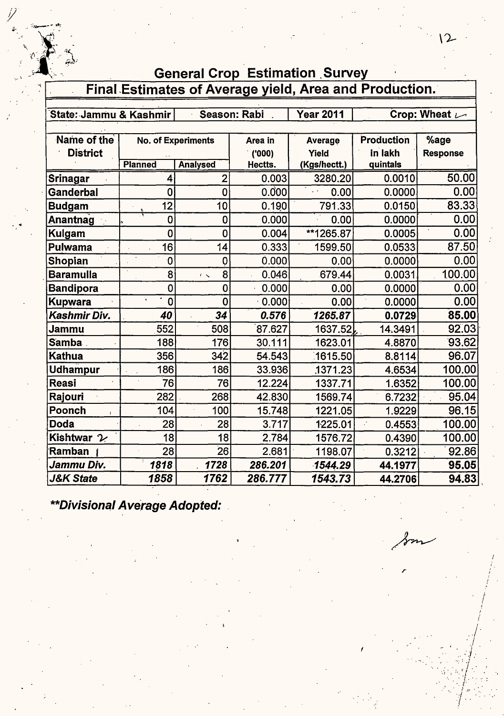| 55                     |                                        |                           |              |                                                        |            |                                      |
|------------------------|----------------------------------------|---------------------------|--------------|--------------------------------------------------------|------------|--------------------------------------|
| k<br>S                 |                                        |                           |              | <b>General Crop Estimation Survey</b>                  |            |                                      |
|                        |                                        |                           |              | Final Estimates of Average yield, Area and Production. |            |                                      |
| State: Jammu & Kashmir |                                        |                           | Season: Rabi | <b>Year 2011</b>                                       |            | Crop: Wheat $\overline{\phantom{a}}$ |
|                        |                                        |                           |              |                                                        |            |                                      |
| Name of the            |                                        | <b>No. of Experiments</b> | Area in      | Average                                                | Production | %age                                 |
| <b>District</b>        |                                        |                           | (000)        | Yield                                                  | in lakh    | <b>Response</b>                      |
|                        | <b>Planned</b>                         | <b>Analysed</b>           | Hectts.      | (Kgs/hectt.)                                           | quintals   |                                      |
| <b>Srinagar</b>        | 4                                      | $\overline{2}$            | 0.003        | 3280.20                                                | 0.0010     | 50.00                                |
| Ganderbal              | 0                                      | $\mathbf 0$               | 0.000        | 0.00                                                   | 0.0000     | 0.00                                 |
| <b>Budgam</b>          | 12                                     | 10                        | 0.190        | 791.33                                                 | 0.0150     | 83.33                                |
| Anantnag               | $\mathbf 0$                            | 0                         | 0.000        | 0.00                                                   | 0.0000     | 0.00                                 |
| Kulgam                 | 0                                      | 0                         | 0.004        | **1265.87                                              | 0.0005     | 0.00                                 |
| <b>Pulwama</b>         | 16                                     | 14                        | 0.333        | 1599.50                                                | 0.0533     | 87.50                                |
| Shopian                | 0                                      | 0                         | 0.000        | 0.00                                                   | 0.0000     | 0.00                                 |
| <b>Baramulla</b>       | 8                                      | 8<br>$\epsilon \propto$   | 0.046        | 679.44                                                 | 0.0031     | 100.00                               |
| <b>Bandipora</b>       | $\overline{0}$                         | $\overline{0}$            | 0.000        | 0.00                                                   | 0.0000     | 0.00                                 |
| <b>Kupwara</b>         | $\ddot{\phantom{a}}$<br>$\overline{0}$ | $\overline{0}$            | $-0.000$     | 0.00                                                   | 0.0000     | 0.00                                 |
| Kashmir Div.           | 40                                     | 34                        | 0.576        | 1265.87                                                | 0.0729     | 85.00                                |
| Jammu                  | 552                                    | 508                       | 87.627       | 1637.52                                                | 14.3491    | 92.03                                |
| Samba                  | 188                                    | 176                       | 30.111       | 1623.01                                                | 4.8870     | 93.62                                |
| Kathua                 | 356                                    | 342                       | 54.543       | 1615.50                                                | 8.8114     | 96.07                                |
| <b>Udhampur</b>        | 186                                    | 186                       | 33.936       | 1371.23                                                | 4.6534     | 100.00                               |
| <b>Reasi</b>           | 76                                     | 76                        | 12.224       | 1337.71                                                | 1.6352     | 100.00                               |
| Rajouri                | 282                                    | 268                       | 42.830       | 1569.74                                                | 6.7232     | 95.04                                |
| Poonch                 | 104                                    | 100                       | 15.748       | 1221.05                                                | 1.9229     | 96.15                                |
| <b>Doda</b>            | 28                                     | 28                        | 3.717        | 1225.01                                                | 0.4553     | 100.00                               |
| Kishtwar 2             | 18                                     | 18                        | 2.784        | 1576.72                                                | 0.4390     | 100.00                               |
| Ramban                 | 28                                     | 26                        | 2.681        | 1198.07                                                | 0.3212     | 92.86                                |
| Jammu Div.             | 1818                                   | 1728                      | 286.201      | 1544.29                                                | 44.1977    | 95.05                                |
| <b>J&amp;K State</b>   | 1858                                   | 1762                      | 286.777      | 1543.73                                                | 44.2706    | 94.83                                |

**\*\*Divisional Average Adopted:** 

Ÿ,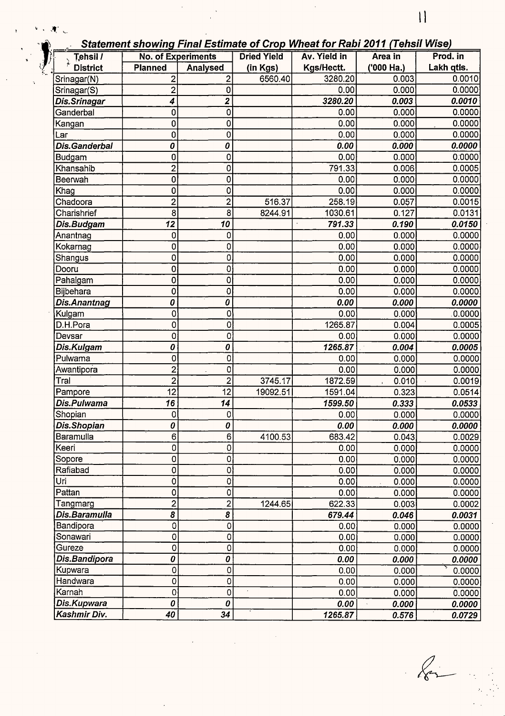Statement showing Final Estimate of Crop Wheat for Rabi 2011 (Tehsil Wise)

| $Te$ hsil /     | <b>No. of Experiments</b> |                    | <b>Dried Yield</b> | Av. Yield in | <u>Catomont Chowing</u> Final Louniate of Crop Miloactor Rawl Lot Figure Milos<br>Area in | Prod. in   |
|-----------------|---------------------------|--------------------|--------------------|--------------|-------------------------------------------------------------------------------------------|------------|
| <b>District</b> | <b>Planned</b>            | Analysed           | (in Kgs)           | Kgs/Hectt.   | ('000 Ha.)                                                                                | Lakh qtls. |
| Srinagar(N)     | 2                         | $\overline{2}$     | 6560.40            | 3280.20      | 0.003                                                                                     | 0.0010     |
| Srinagar(S)     | $\overline{2}$            | 0                  |                    | 0.00         | 0.000                                                                                     | 0.0000     |
| Dis.Srinagar    | 4                         | 2                  |                    | 3280.20      | 0.003                                                                                     | 0.0010     |
| Ganderbal       | 0                         | 0                  |                    | 0.00         | 0.000                                                                                     | 0.0000     |
| Kangan          | 0                         | 0                  |                    | 0.00         | 0.000                                                                                     | 0.0000     |
| Lar             | 0                         | 0                  |                    | 0.00         | 0.000                                                                                     | 0.0000     |
| Dis.Ganderbal   | 0                         | 0                  |                    | 0.00         | 0.000                                                                                     | 0.0000     |
| <b>Budgam</b>   | 0                         | 0                  |                    | 0.00         | 0.000                                                                                     | 0.0000     |
| Khansahib       | $\overline{c}$            | 0                  |                    | 791.33       | 0.006                                                                                     | 0.0005     |
| Beerwah         | 0                         | 0                  |                    | 0.00         | 0.000                                                                                     | 0.0000     |
| Khag            | 0                         | 0                  |                    | 0.00         | 0.000                                                                                     | 0.0000     |
| Chadoora        | $\overline{2}$            | $\overline{c}$     | 516.37             | 258.19       | 0.057                                                                                     | 0.0015     |
| Charishrief     | 8                         | 8                  | 8244.91            | 1030.61      | 0.127                                                                                     | 0.0131     |
| Dis.Budgam      | $\overline{12}$           | 10                 |                    | 791.33       | 0.190                                                                                     | 0.0150     |
| Anantnag        | 0                         | 0                  |                    | 0.00         | 0.000                                                                                     | 0.0000     |
| Kokarnag        | 0                         | 0                  |                    | 0.00         | 0.000                                                                                     | 0.0000     |
| Shangus         | 0                         | 0                  |                    | 0.00         | 0.000                                                                                     | 0.0000     |
| Dooru           | 0                         | 0                  |                    | 0.00         | 0.000                                                                                     | 0.0000     |
| Pahalgam        | 0                         | 0                  |                    | 0.00         | 0.000                                                                                     | 0.0000     |
| Bijbehara       | 0                         | 0                  |                    | 0.00         | 0.000                                                                                     | 0.0000     |
| Dis.Anantnag    | 0                         | 0                  |                    | 0.00         | 0.000                                                                                     | 0.0000     |
| Kulgam          | 0                         | 0                  |                    | 0.00         | 0.000                                                                                     | .0.0000    |
| D.H.Pora        | 0                         | 0                  |                    | 1265.87      | 0.004                                                                                     | 0.0005     |
| Devsar          | 0                         | 0                  |                    | 0.00         | 0.000                                                                                     | 0.0000     |
| Dis.Kulgam      | 0                         | 0                  |                    | 1265.87      | 0.004                                                                                     | 0.0005     |
| Pulwama         | 0                         | 0                  |                    | 0.00         | 0.000                                                                                     | 0.0000     |
| Awantipora      | $\overline{2}$            | 0                  |                    | 0.00         | 0.000                                                                                     | 0.0000     |
| Tral            | 2                         | $\overline{2}$     | 3745.17            | 1872.59      | 0.010                                                                                     | 0.0019     |
| Pampore         | 12                        | 12                 | 19092.51           | 1591.04      | 0.323                                                                                     | 0.0514     |
| Dis.Pulwama     | 16                        | 14                 |                    | 1599.50      | 0.333                                                                                     | 0.0533     |
| Shopian         | 0                         | 0                  |                    | 0.00         | 0.000                                                                                     | 0.0000     |
| Dis.Shopian     | 0                         | 0                  |                    | 0.00         | 0.000                                                                                     | 0.0000     |
| Baramulla       | 6                         | 6                  | 4100.53            | 683.42       | 0.043                                                                                     | 0.0029     |
| Keeri           | 0                         | 0                  |                    | 0.00         | 0.000                                                                                     | 0.0000     |
| Sopore          | 0                         | 0                  |                    | 0.00         | 0.000                                                                                     | 0.0000     |
| Rafiabad        | 0                         | 0                  |                    | 0.00         | 0.000                                                                                     | 0.0000     |
| Uri             | 0                         | $\mathbf 0$        |                    | 0.00         | 0.000                                                                                     | 0.0000     |
| Pattan          | 0                         | $\pmb{\mathsf{O}}$ |                    | 0.00         | 0.000                                                                                     | 0.0000     |
| Tangmarg        | $\overline{2}$            | $\overline{2}$     | 1244.65            | 622.33       | 0.003                                                                                     | 0.0002     |
| Dis.Baramulla   | 8                         | 8                  |                    | 679.44       | 0.046                                                                                     | 0.0031     |
| Bandipora       | $\overline{0}$            | $\mathbf 0$        |                    | 0.00         | 0.000                                                                                     | 0.0000     |
| Sonawari        | 0                         | $\mathbf 0$        |                    | 0.00         | 0.000                                                                                     | 0.0000     |
| Gureze          | 0                         | $\mathbf 0$        |                    | 0.00         | 0.000                                                                                     | 0.0000     |
| Dis.Bandipora   | 0                         | 0                  |                    | 0.00         | 0.000                                                                                     | 0.0000     |
| Kupwara         | 0                         | 0                  |                    | 0.00         | 0.000                                                                                     | 0.0000     |
| Handwara        | 0                         | 0                  |                    | 0.00         | 0.000                                                                                     | 0.0000     |
| Karnah          | $\mathbf 0$               | 0                  |                    | 0.00         | 0.000                                                                                     | 0.0000     |
| Dis.Kupwara     | 0                         | 0                  |                    | 0.00         | 0.000                                                                                     | 0.0000     |
| Kashmir Div.    | 40                        | 34                 |                    | 1265.87      | 0.576                                                                                     | 0.0729     |

 $\begin{matrix} \begin{matrix} 1 & 1 \\ 1 & 1 \end{matrix} & \begin{matrix} 1 & 1 \\ 1 & 1 \end{matrix} & \begin{matrix} 1 & 1 \\ 1 & 1 \end{matrix} & \begin{matrix} 1 & 1 \\ 1 & 1 \end{matrix} & \begin{matrix} 1 & 1 \\ 1 & 1 \end{matrix} & \begin{matrix} 1 & 1 \\ 1 & 1 \end{matrix} & \begin{matrix} 1 & 1 \\ 1 & 1 \end{matrix} & \begin{matrix} 1 & 1 \\ 1 & 1 \end{matrix} & \begin{matrix} 1 & 1 \\ 1 & 1 \end{matrix} & \begin{matrix} 1 & 1 \\ 1 & 1 \$ 

11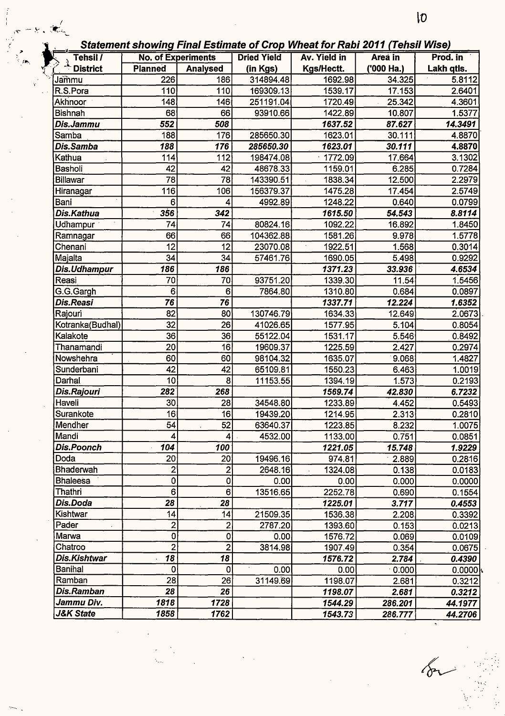| Tehsil /          | <b>No. of Experiments</b> |                 | <b>Dried Yield</b> | Av. Yield in | Area in    | Prod. in   |
|-------------------|---------------------------|-----------------|--------------------|--------------|------------|------------|
| <b>District</b>   | <b>Planned</b>            | <b>Analysed</b> | (in Kgs)           | Kgs/Hectt.   | ('000 Ha.) | Lakh qtls. |
| Jammu             | 226                       | 186             | 314894.48          | 1692.98      | 34.325     | 5.8112     |
| R.S.Pora          | 110                       | 110             | 169309.13          | 1539.17      | 17.153     | 2.6401     |
| Akhnoor           | 148                       | 146             | 251191.04          | 1720.49      | 25.342     | 4.3601     |
| <b>Bishnah</b>    | 68                        | 66              | 93910.66           | 1422.89      | 10.807     |            |
| Dis.Jammu         | 552                       | 508             |                    | 1637.52      | 87.627     | 14.3491    |
| Samba             | 188                       | 176             | 285650.30          | 1623.01      | 30.111     |            |
| Dis.Samba         | 188                       | 176             | 285650.30          | 1623.01      | 30.111     |            |
| Kathua            | 114                       | 112             | 198474.08          | 1772.09      | 17.664     |            |
| <b>Basholi</b>    | 42                        | 42              | 48678.33           | 1159.01      | 6.285      |            |
| <b>Billawar</b>   | 78                        | 78              | 143390.51          | 1838.34      | 12.500     |            |
| Hiranagar         | 116                       | 106             | 156379.37          | 1475.28      | 17.454     |            |
| Bani              | 6                         | 4               | 4992.89            | 1248.22      | 0.640      |            |
| Dis.Kathua        | 356                       | 342             |                    | 1615.50      | 54.543     | 8.8114     |
| Udhampur          | 74                        | 74              | 80824.16           | 1092.22      | 16.892     |            |
| Ramnagar          | 66                        | 66              | 104362.88          | 1581.26      | 9.978      |            |
| Chenani           | 12                        | 12              | 23070.08           | 1922.51      | 1.568      |            |
| Majalta           | 34                        | 34              | 57461.76           | 1690.05      | 5.498      |            |
| Dis.Udhampur      | 186                       | 186             |                    | 1371.23      | 33.936     | 4.6534     |
| Reasi             | 70                        | 70              | 93751.20           | 1339.30      | 11.54      |            |
| G.G.Gargh         | 6                         | 6               | 7864.80            | 1310.80      | 0.684      |            |
| Dis.Reasi         | 76                        | 76              |                    | 1337.71      | 12.224     |            |
| Rajouri           | 82                        | 80              | 130746.79          | 1634.33      | 12.649     |            |
| Kotranka(Budhal)  | $\overline{32}$           | 26              | 41026.65           | 1577.95      | 5.104      |            |
| Kalakote          | 36                        | 36              | 55122.04           | 1531.17      | 5.546      |            |
| Thanamandi        | 20                        | 16              | 19609.37           | 1225.59      | 2.427      |            |
| Nowshehra         | 60                        | 60              | 98104.32           | 1635.07      | 9.068      |            |
| Sunderbani        | 42                        | 42              | 65109.81           | 1550.23      | 6.463      |            |
| Darhal            | 10                        | 8               | 11153.55           | 1394.19      | 1.573      |            |
| Dis.Rajouri       | 282                       | 268             |                    | 1569.74      | 42.830     |            |
| Haveli            | 30                        | 28              | 34548.80           | 1233.89      | 4.452      |            |
| Surankote         | 16                        | 16 <sup>1</sup> | 19439.20           | 1214.95      | 2.313      |            |
| Mendher           | 54                        | 52              | 63640.37           | 1223.85      | 8.232      |            |
| Mandi             | 4                         | 4               | 4532.00            | 1133.00      | 0.751      |            |
| <b>Dis.Poonch</b> | 104                       | 100             |                    | 1221.05      | 15.748     |            |
| Doda              | 20                        | 20              | 19496.16           | 974.81       | $-2.889$   |            |
| Bhaderwah         | $\overline{2}$            | 2               | 2648.16            | 1324.08      | 0.138      |            |
| <b>Bhaleesa</b>   | $\mathbf 0$               | 0               | 0.00               | 0.00         | 0.000      |            |
| Thathri           | 6                         | 6               | 13516.65           | 2252.78      | 0.690      |            |
| Dis.Doda          | 28                        | 28              |                    | 1225.01      | 3.717      |            |
| Kishtwar          | 14                        | 14              | 21509.35           | 1536.38      | 2.208      | 0.4553     |
| Pader             | $\mathbf{2}$              | $\overline{2}$  | 2787.20            | 1393.60      | 0.153      |            |
| Marwa             | 0                         | 0               | 0.00               | 1576.72      | 0.069      |            |
| Chatroo           | $\overline{2}$            | $\overline{a}$  | 3814.98            | 1907.49      | 0.354      |            |
| Dis.Kishtwar      | 18                        | 18              |                    | 1576.72      | 2.784      | 0.4390     |
| <b>Banihal</b>    | 0                         | 0               | 0.00               | 0.00         | 0.000      |            |
| Ramban            | 28                        | 26              | 31149.69           | 1198.07      | 2.681      |            |
| Dis.Ramban        | 28                        | 26              |                    | 1198.07      | 2.681      |            |
| Jammu Div.        | 1818                      | 1728            |                    | 1544.29      | 286.201    | 44.1977    |
| J&K State         | 1858                      | 1762            |                    | 1543.73      | 286.777    | 44.2706    |

 $\sqrt{\sigma}$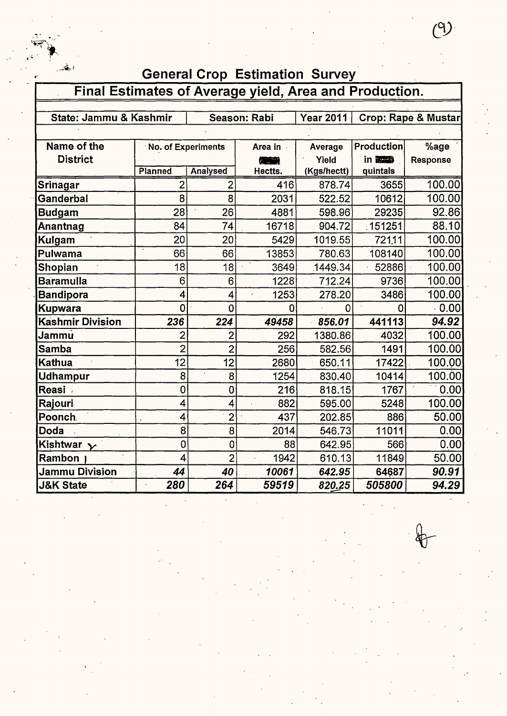| أحقت                                                   |                    |                 | <b>General Crop Estimation Survey</b> |                |                |                                |
|--------------------------------------------------------|--------------------|-----------------|---------------------------------------|----------------|----------------|--------------------------------|
| Final Estimates of Average yield, Area and Production. |                    |                 |                                       |                |                |                                |
|                                                        |                    |                 |                                       |                |                |                                |
| State: Jammu & Kashmir                                 |                    |                 | Season: Rabi                          | Year 2011      |                | <b>Crop: Rape &amp; Mustar</b> |
|                                                        |                    |                 |                                       |                |                |                                |
| Name of the                                            | No. of Experiments |                 | Area in .                             | Average        | Production     | %age                           |
| <b>District</b>                                        |                    |                 |                                       | Yield          | in <b>BEER</b> | Response                       |
|                                                        | Planned            | <b>Analysed</b> | Hectts.                               | (Kgs/hectt)    | quintals       |                                |
| Srinagar                                               | 2                  | 2               | 416                                   | 878.74         | 3655           | 100.00                         |
| Ganderbal                                              | 8                  | 8               | 2031                                  | 522.52         | 10612          | 100.00                         |
| <b>Budgam</b>                                          | 28                 | 26              | 4881                                  | 598.96         | 29235          | 92.86                          |
| Anantnag                                               | 84                 | 74              | 16718                                 | 904.72         | .151251        | 88.10                          |
| Kulgam                                                 | 20                 | 20              | 5429                                  | 1019.55        | 721.11         | 100.00                         |
| Pulwama                                                | 66                 | 66              | 13853                                 | 780.63         | 108140         | 100.00                         |
| Shopian                                                | 18                 | 18              | 3649                                  | 1449.34        | 52886          | 100.00                         |
| <b>Baramulla</b>                                       | 6                  | 6               | 1228                                  | 712.24         | 9736           | 100.00                         |
| <b>Bandipora</b>                                       | 4                  | 4               | 1253                                  | 278.20         | 3486           | 100.00                         |
| <b>Kupwara</b>                                         | $\overline{0}$     | 0               | $\Omega$                              | $\overline{0}$ | $\Omega$       | 0.00                           |
| <b>Kashmir Division</b>                                | 236                | 224             | 49458                                 | 856.01         | 441113         | 94.92                          |
| Jammu                                                  | $\overline{2}$     | $\overline{2}$  | 292                                   | 1380.86        | 4032           | 100.00                         |
| <b>Samba</b>                                           | $\overline{2}$     | $\overline{2}$  | 256                                   | 582.56         | 1491           | 100.00                         |
| <b>Kathua</b>                                          | 12                 | 12              | 2680                                  | 650.11         | 17422          | 100.00                         |
| Udhampur                                               | 8                  | 8               | 1254                                  | 830.40         | 10414          | 100.00                         |
| <b>Reasi</b>                                           | 0                  | $\mathbf 0$     | 216                                   | 818.15         | 1767           | 0.00                           |
| Rajouri                                                | 4                  | 4               | 882                                   | 595.00         | 5248           | 100.00                         |
| Poonch.                                                | 4                  | $\overline{2}$  | 437                                   | 202.85         | 886            | 50.00                          |
| Doda                                                   | 8                  | 8               | 2014                                  | 546.73         | 11011          | 0.00                           |
| Kishtwar $\sim$                                        | $\overline{0}$     | $\mathbf 0$     | 88                                    | 642.95         | 566            | 0.00                           |
| Rambon                                                 | 4                  | $\overline{2}$  | 1942                                  | 610.13         | 11849          | 50.00                          |
| <b>Jammu Division</b>                                  | 44                 | 40              | 10061                                 | 642.95         | 64687          | 90.91                          |
| <b>J&amp;K State</b>                                   | 280                | 264             | 59519                                 | 820.25         | 505800         | 94.29                          |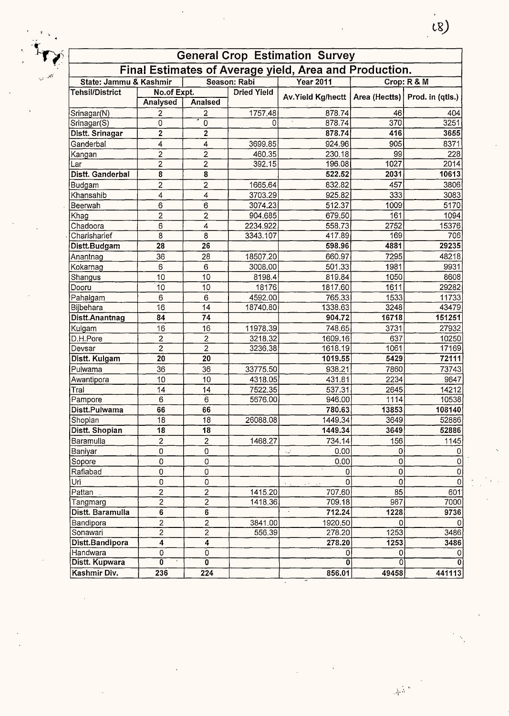|                        |                         |                         |                    | <b>General Crop Estimation Survey</b>                  |                   |                                  |
|------------------------|-------------------------|-------------------------|--------------------|--------------------------------------------------------|-------------------|----------------------------------|
|                        |                         |                         |                    | Final Estimates of Average yield, Area and Production. |                   |                                  |
| State: Jammu & Kashmir |                         |                         | Season: Rabi       | <b>Year 2011</b>                                       |                   | Crop: R & M                      |
| Tehsil/District        | No.of Expt.             |                         | <b>Dried Yield</b> | Av.Yield Kg/hectt                                      |                   | Area (Hectts)   Prod. in (qtls.) |
|                        | Analysed                | <b>Analsed</b>          |                    |                                                        |                   |                                  |
| Srinagar(N)            | 2                       | 2                       | 1757.48            | 878.74                                                 | 46                | 404                              |
| Srinagar(S)            | 0                       | ō                       | 0                  | 878.74                                                 | 370               | 3251                             |
| Distt. Srinagar        | 2                       | $\overline{2}$          |                    | 878.74                                                 | 416               | 3655                             |
| Ganderbal              | 4                       | 4                       | 3699.85            | 924.96                                                 | 905               | 8371                             |
| Kangan                 | 2                       | 2                       | 460.35             | 230.18                                                 | 99                | 228                              |
| Lar                    | $\overline{2}$          | $\overline{2}$          | 392.15             | 196.08                                                 | 1027              | 2014                             |
| Distt. Ganderbal       | $\overline{\mathbf{8}}$ | $\overline{\mathbf{8}}$ |                    | 522.52                                                 | 2031              | 10613                            |
| Budgam                 | $\overline{\mathbf{c}}$ | $\overline{\mathbf{c}}$ | 1665.64            | 832.82                                                 | 457               | 3806                             |
| Khansahib              | 4                       | $\overline{4}$          | 3703.29            | 925.82                                                 | 333               | 3083                             |
| Beerwah                | 6                       | 6                       | 3074.23            | 512.37                                                 | 1009              | 5170                             |
| Khag                   | $\overline{c}$          | $\overline{c}$          | 904.685            | 679.50                                                 | 161               | 1094                             |
| Chadoora               | 6                       | 4                       | 2234.922           | 558.73                                                 | 2752              | 15376                            |
| Charisharief           | 8                       | $\overline{8}$          | 3343.107           | 417.89                                                 | 169               | 706                              |
| Distt.Budgam           | 28                      | 26                      |                    | 598.96                                                 | 4881              | 29235                            |
| Anantnag               | 36                      | 28                      | 18507.20           | 660.97                                                 | 7295              | 48218                            |
| Kokarnag               | 6                       | $6\phantom{1}$          | 3008.00            | 501.33                                                 | 1981              | 9931                             |
| Shangus                | 10                      | 10                      | 8198.4             | 819.84                                                 | 1050              | 8608                             |
| Dooru                  | 10                      | 10                      | 18176              | 1817.60                                                | 1611              | 29282                            |
| Pahalgam               | 6                       | 6                       | 4592.00            | 765.33                                                 | 1533              | 11733                            |
| Bijbehara              | 16                      | 14                      | 18740.80           | 1338.63                                                | 3248              | 43479                            |
| Distt.Anantnag         | $8\bar{4}$              | 74                      |                    | 904.72                                                 | 16718             | 151251                           |
| Kulgam                 | 16                      | 16                      | 11978.39           | 748.65                                                 | 3731              | 27932                            |
| D.H.Pore               | $\mathbf 2$             | $\overline{\mathbf{c}}$ | 3218.32            | 1609.16                                                | 637               | 10250                            |
| Devsar                 | $\overline{2}$          | $\overline{2}$          | 3236.38            | 1618.19                                                | 1061              | 17169                            |
| Distt. Kulgam          | 20                      | 20                      |                    | 1019.55                                                | 5429              | 72111                            |
| Pulwama                | 36                      | 36                      | 33775.50           | 938.21                                                 | 7860              | 73743                            |
| Awantipora             | 10                      | 10                      | 4318.05            | 431.81                                                 | 2234              | 9647                             |
| Tral                   | 14                      | 14                      | 7522.35            | 537.31                                                 | 2645              | 14212                            |
| Pampore                | 6                       | 6                       | 5676.00            | 946.00                                                 | 1114              | 10538                            |
| Distt.Pulwama          | 66                      | 66                      |                    | 780.63                                                 | 13853             | 108140                           |
| Shopian                | $\overline{18}$         | $\overline{18}$         | 26088.08           | 1449.34                                                | $\overline{3649}$ | 52886                            |
| Distt. Shopian         | 18                      | 18                      |                    | 1449.34                                                | 3649              | 52886                            |
| Baramulla              | $\overline{2}$          | $\overline{\mathbf{c}}$ | 1468.27            | 734.14                                                 | 156               | 1145                             |
| Baniyar                | $\mathbf 0$             | 0                       |                    | 0.00<br>المداد                                         | 0                 | 0                                |
| Sopore                 | 0                       | 0                       |                    | 0.00                                                   | 0                 | $\overline{0}$                   |
| Rafiabad               | 0                       | 0                       |                    |                                                        | 0                 | $\overline{0}$                   |
| Uri                    | $\mathsf 0$             | $\mathbf 0$             |                    |                                                        | 0                 | $\overline{0}$                   |
| Pattan                 | $\overline{2}$          | $\overline{2}$          | 1415.20            | 707.60                                                 | 85                | 601                              |
| Tangmarg               | $\overline{2}$          | $\overline{2}$          | 1418.36            | 709.18                                                 | 987               | 7000                             |
| Distt. Baramulla       | 6                       | $\overline{\bf{6}}$     |                    | 712.24                                                 | 1228              | 9736                             |
| Bandipora              | 2                       | $\overline{2}$          | 3841.00            | 1920.50                                                | 0                 | 0                                |
| Sonawari               | $\overline{2}$          | $\overline{2}$          | 556.39             | 278.20                                                 | 1253              | 3486                             |
| Distt.Bandipora        | 4                       | $\overline{4}$          |                    | 278.20                                                 | 1253              | 3486                             |
| Handwara               | 0                       | $\overline{0}$          |                    | 0                                                      | 0                 | 0                                |
| Distt. Kupwara         | 0                       | õ                       |                    |                                                        |                   | $\bf{0}$                         |
| Kashmir Div.           | 236                     | 224                     |                    | 856.01                                                 | 49458             | 441113                           |

 $\left( \begin{matrix} 1 \\ 1 \\ 0 \end{matrix} \right)$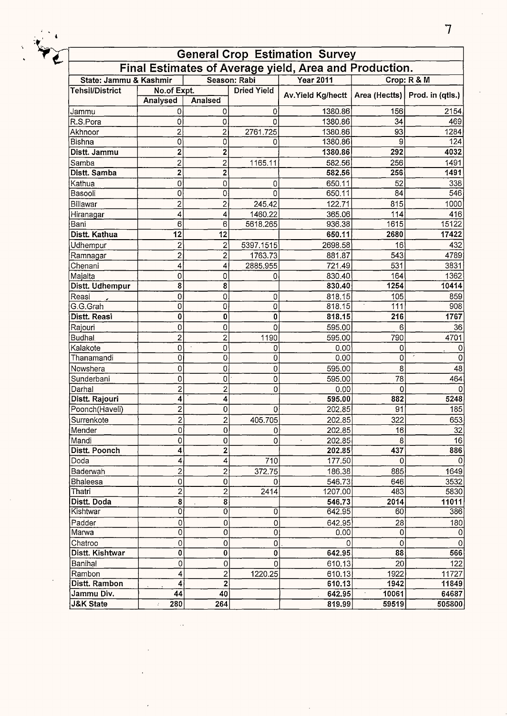

## **General Crop Estimation Survey Final Estimates of Average yield, Area and Production.**

| State: Jammu & Kashmir |                         |                              | Season: Rabi       | <b>Year 2011</b>              |                   | Crop: $R & M$                    |
|------------------------|-------------------------|------------------------------|--------------------|-------------------------------|-------------------|----------------------------------|
| <b>Tehsil/District</b> | No.of Expt.             |                              | <b>Dried Yield</b> | Av. Yield Kg/hectt            |                   | Area (Hectts)   Prod. in (qtls.) |
|                        | Analysed                | Analsed                      |                    |                               |                   |                                  |
| Jammu                  | 0                       | 0                            | 0                  | 1380.86                       | 156               | 2154                             |
| R.S.Pora               | 0                       | 0                            | 0                  | 1380.86                       | 34                | 469                              |
| Akhnoor                | 2                       | 2                            | 2761.725           | 1380.86                       | 93                | 1284                             |
| Bishna                 | 0                       | 0                            | 0                  | 1380.86                       | 9                 | 124                              |
| Distt. Jammu           | $\overline{\mathbf{c}}$ | $\mathbf 2$                  |                    | 1380.86                       | 292               | 4032                             |
| Samba                  | $\overline{\mathbf{c}}$ | 2                            | 1165.11            | 582.56                        | 256               | 1491                             |
| Distt. Samba           | $\overline{\mathbf{c}}$ | 2                            |                    | 582.56                        | 256               | 1491                             |
| Kathua                 | 0                       | 0                            | 0                  | 650.11                        | 52                | 338                              |
| Basooli                | 0                       | 0                            | 0                  | 650.11                        | 84                | 546                              |
| Billawar               | 2                       | $\overline{c}$               | 245.42             | 122.71                        | 815               | 1000                             |
| Hiranagar              | 4                       | 4                            | 1460.22            | 365.06                        | 114               | 416                              |
| Bani                   | 6                       | 6                            | 5618.265           | 936.38                        | $\overline{16}15$ | 15122                            |
| Distt. Kathua          | $\overline{12}$         | 12                           |                    | 650.11                        | 2680              | 17422                            |
| Udhempur               | 2                       | 2                            | 5397.1515          | 2698.58                       | 16                | 432                              |
| Ramnagar               | $\overline{2}$          | 2                            | 1763.73            | 881.87                        | 543               | 4789                             |
| Chenani                | 4                       | 4                            | 2885.955           | 721.49                        | 531               | 3831                             |
| Majalta                | 0                       | 0                            | 0                  | 830.40                        | 164               | 1362                             |
| Distt. Udhempur        | $\overline{\mathbf{8}}$ | 8                            |                    | 830.40                        | 1254              | 10414                            |
| Reasi                  | 0                       | 0                            | 0                  | 818.15                        | 105               | 859                              |
| G.G.Grah               | 0                       | 0                            | 0                  | 818.15                        | 111               | 908                              |
| Distt. Reasi           | 0                       | 0                            | 0                  | 818.15                        | 216               | 1767                             |
| Rajouri                | 0                       | 0                            | 0                  | 595.00                        | 6                 | 36                               |
| <b>Budhal</b>          | $\overline{2}$          | $\overline{\mathbf{c}}$      | 1190               | 595.00                        | 790               | 4701                             |
| Kalakote               | 0                       | 0                            |                    |                               | 0                 |                                  |
| Thanamandi             | 0                       | 0                            | 0<br>$\mathbf 0$   | 0.00<br>0.00                  | 0                 | 0<br>0                           |
| Nowshera               | 0                       | 0                            |                    | 595.00                        | 8                 | 48                               |
|                        | 0                       |                              | 0                  |                               |                   | 464                              |
| Sunderbani             |                         | 0                            | 0                  | 595.00                        | 78                |                                  |
| Darhal                 | 2<br>4                  | $\overline{\mathbf{c}}$<br>4 | 0                  | 0.00                          | 0<br>882          | $\Omega$<br>5248                 |
| Distt. Rajouri         |                         |                              |                    | 595.00                        | 91                |                                  |
| Poonch(Haveli)         | 2                       | 0                            | 0                  | 202.85                        |                   | 185                              |
| Surrenkote             | $\overline{2}$          | $\overline{\mathbf{c}}$      | 405.705            | 202.85                        | 322               | 653                              |
| Mender                 | 0                       | 0                            | 0                  | 202.85                        | 16                | 32                               |
| Mandi                  | 0                       | 0                            | 0                  | 202.85<br>$\bar{\phantom{a}}$ | 8                 | 16                               |
| Distt. Poonch          | 4                       | $\overline{2}$               |                    | 202.85                        | 437               | 886                              |
| Doda                   | $\vert 4 \vert$         | 4                            | 710                | 177.50                        | 0                 | 0                                |
| Baderwah               | $\overline{2}$          | $\mathbf{2}$                 | 372.75             | 186.38                        | 885               | 1649                             |
| Bhaleesa               | $\mathsf 0$             | 0                            | ΩI                 | 546.73                        | 646               | 3532                             |
| Thatri                 | $\overline{2}$          | $\overline{2}$               | 2414               | 1207.00                       | 483               | 5830                             |
| Distt. Doda            | $\bf{8}$                | $\bf{8}$                     |                    | 546.73                        | 2014              | 11011                            |
| Kishtwar               | 0                       | 0                            | 0                  | 642.95                        | 60                | 386                              |
| Padder                 | 0                       | $\Omega$                     | 0                  | 642.95                        | 28                | 180                              |
| Marwa                  | $\overline{0}$          | $\overline{0}$               | $\overline{0}$     | 0.00                          | $\Omega$          |                                  |
| Chatroo                | 0                       | 0                            | $\overline{0}$     | $\Omega$                      | $\mathbf 0$       | 0                                |
| Distt. Kishtwar        | 0                       | 0                            | $\mathbf 0$        | 642.95                        | 88                | 566                              |
| Banihal                | 0                       | 0                            | $\overline{0}$     | 610.13                        | 20                | 122                              |
| Rambon                 | $\overline{\mathbf{4}}$ | 2                            | 1220.25            | 610.13                        | 1922              | 11727                            |
| Distt. Rambon          | 4                       | $\overline{\mathbf{2}}$      |                    | 610.13                        | 1942              | 11849                            |
| Jammu Div.             | 44                      | 40                           |                    | 642.95                        | 10061             | 64687                            |
| <b>J&amp;K State</b>   | 280<br>ż.               | 264                          |                    | 819.99                        | 59519             | 505800                           |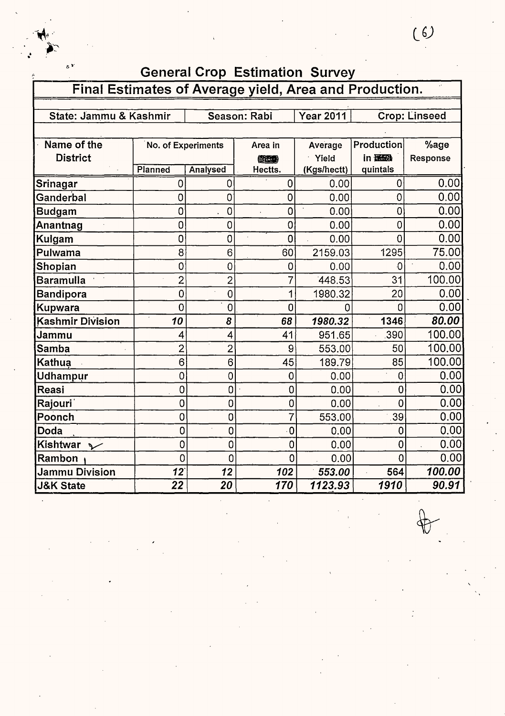|                                                        |                    |                 | <b>General Crop Estimation Survey</b> |                  |                |                      |
|--------------------------------------------------------|--------------------|-----------------|---------------------------------------|------------------|----------------|----------------------|
| Final Estimates of Average yield, Area and Production. |                    |                 |                                       |                  |                |                      |
|                                                        |                    |                 |                                       |                  |                |                      |
| State: Jammu & Kashmir                                 |                    |                 | Season: Rabi                          | <b>Year 2011</b> |                | <b>Crop: Linseed</b> |
|                                                        |                    |                 |                                       |                  |                |                      |
| Name of the                                            | No. of Experiments |                 | Area in                               | Average          | Production     | %age                 |
| <b>District</b>                                        |                    |                 | (英国)                                  | Yield            | in <b>证验</b>   | Response             |
|                                                        | Planned            | <b>Analysed</b> | Hectts.                               | (Kgs/hectt)      | quintals       |                      |
| <b>Srinagar</b>                                        | 0                  | $\overline{0}$  | $\mathbf 0$                           | 0.00             | 0              | 0.00                 |
| Ganderbal                                              | 0                  | $\overline{0}$  | $\mathbf 0$                           | 0.00             | 0              | 0.00                 |
| <b>Budgam</b>                                          | $\overline{0}$     | $\overline{0}$  | $\overline{0}$                        | 0.00             | $\overline{0}$ | 0.00                 |
| Anantnag                                               | $\overline{0}$     | $\Omega$        | 0                                     | 0.00             | 0              | 0.00                 |
| Kulgam                                                 | $\overline{0}$     | $\overline{0}$  | $\mathbf 0$                           | 0.00             | $\overline{0}$ | 0.00                 |
| Pulwama                                                | 8                  | 6               | 60                                    | 2159.03          | 1295           | 75.00                |
| Shopian                                                | $\overline{0}$     | $\overline{0}$  | 0                                     | 0.00             | $\overline{0}$ | 0.00                 |
| <b>Baramulla</b>                                       | $\overline{2}$     | $\overline{2}$  | $\overline{7}$                        | 448.53           | 31             | 100.00               |
| <b>Bandipora</b>                                       | $\overline{0}$     | $\overline{0}$  | 1                                     | 1980.32          | 20             | 0.00                 |
| Kupwara                                                | $\overline{0}$     | $\overline{0}$  | $\overline{0}$                        | 0                |                | 0.00                 |
| <b>Kashmir Division</b>                                | 10                 | 8               | 68                                    | 1980.32          | 1346           | 80.00                |
| Jammu                                                  | 4                  | 4               | 41                                    | 951.65           | .390           | 100.00               |
| <b>Samba</b>                                           | $\overline{2}$     | $\overline{2}$  | 9                                     | 553.00           | 50             | 100.00               |
| <b>Kathua</b>                                          | 6                  | 6               | 45                                    | 189.79           | 85             | 100.00               |
| <b>Udhampur</b>                                        | 0                  | $\overline{0}$  | 0                                     | 0.00             | 0              | 0.00                 |
| Reasi                                                  | 0                  | 0               | 0                                     | 0.00             | 0              | 0.00                 |
| Rajouri <sup>'</sup>                                   | $\overline{0}$     | 0               | $\mathbf 0$                           | 0.00             | 0              | 0.00                 |
| Poonch                                                 | $\overline{0}$     | 0               | $\overline{7}$                        | 553.00           | 39             | 0.00                 |
| Doda                                                   | $\overline{0}$     | 0               | $\overline{0}$                        | 0.00             | $\overline{0}$ | 0.00                 |
| Kishtwar<br>$\checkmark$                               | $\overline{0}$     | 0               | 0                                     | 0.00             | 0              | 0.00                 |
| Rambon                                                 | $\overline{0}$     | $\overline{0}$  | $\overline{0}$                        | 0.00             | $\overline{0}$ | 0.00                 |
| <b>Jammu Division</b>                                  | 12                 | 12              | 102                                   | 553.00           | 564            | 100.00               |
| <b>J&amp;K State</b>                                   | 22                 | 20              | 170                                   | 1123.93          | 1910           | 90.91                |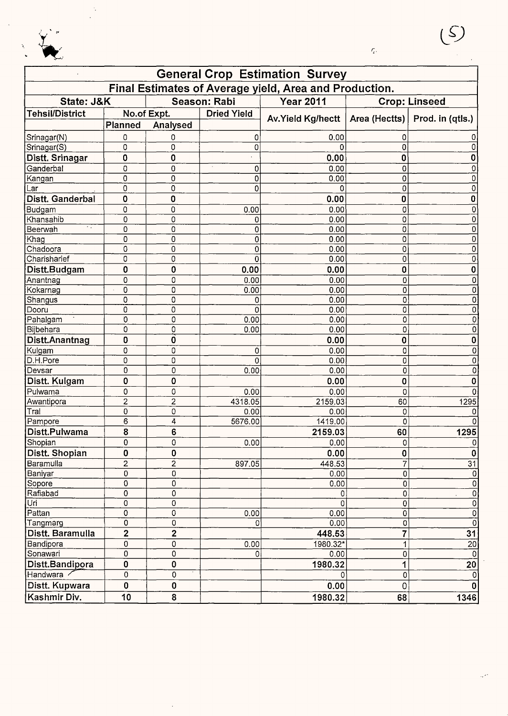

 $\bar{\mathcal{L}}_t$ 

|                        |                         |                |                    | <b>General Crop Estimation Survey</b>                  |                         |                           |
|------------------------|-------------------------|----------------|--------------------|--------------------------------------------------------|-------------------------|---------------------------|
|                        |                         |                |                    | Final Estimates of Average yield, Area and Production. |                         |                           |
| State: J&K             |                         |                | Season: Rabi       | <b>Year 2011</b>                                       |                         | <b>Crop: Linseed</b>      |
| <b>Tehsil/District</b> |                         | No.of Expt.    | <b>Dried Yield</b> | Av. Yield Kg/hectt   Area (Hectts)   Prod. in (qtls.)  |                         |                           |
|                        | Planned                 | Analysed       |                    |                                                        |                         |                           |
| Srinagar(N)            | 0                       | 0              | 0                  | 0.00                                                   | 0                       |                           |
| Srinagar(S)            | 0                       | 0              | 0                  |                                                        | 0                       |                           |
| Distt. Srinagar        | $\bf{0}$                | 0              |                    | 0.00                                                   | 0                       | O                         |
| Ganderbal              | $\pmb{0}$               | 0              | 0                  | 0.00                                                   | 0                       |                           |
| Kangan                 | $\mathbf 0$             | 0              | 0                  | 0.00                                                   | 0                       |                           |
| Lar                    | $\overline{0}$          | $\pmb{0}$      | 0                  |                                                        | 0                       |                           |
| Distt. Ganderbal       | $\mathbf 0$             | $\mathbf 0$    |                    | 0.00                                                   | 0                       | 0                         |
| Budgam                 | 0                       | 0              | 0.00               | 0.00                                                   | 0                       | 0                         |
| Khansahib              | 0                       | 0              | 0                  | 0.00                                                   | 0                       | 0                         |
| - 7<br>Beerwah         | 0                       | 0              | 0                  | 0.00                                                   | 0                       | 0                         |
| Khag                   | 0                       | 0              | 0                  | 0.00                                                   | 0                       | 0                         |
| Chadoora               | 0                       | 0              | 0                  | 0.00                                                   | 0                       | 0                         |
| Charisharief           | 0                       | 0              | 0                  | 0.00                                                   | 0                       | 0                         |
| Distt.Budgam           | 0                       | 0              | 0.00               | 0.00                                                   | $\mathbf 0$             | 0                         |
| Anantnag               | 0                       | 0              | 0.00               | 0.00                                                   | 0                       | 0                         |
| Kokarnag               | 0                       | 0              | 0.00               | 0.00                                                   | $\overline{0}$          | 0                         |
| Shangus                | 0                       | 0              | 0                  | 0.00                                                   | 0                       | 0                         |
| Dooru                  | 0                       | 0              | 0                  | 0.00                                                   | 0                       | 0                         |
| Pahalgam               | 0                       | 0              | 0.00               | 0.00                                                   | 0                       | 0                         |
| Bijbehara              | 0                       | 0              | 0.00               | 0.00                                                   | 0                       | 0                         |
| Distt.Anantnag         | $\mathbf 0$             | 0              |                    | 0.00                                                   | $\bf{0}$                | 0                         |
| Kulgam                 | 0                       | 0              | 0                  | 0.00                                                   | 0                       | 0                         |
| D.H.Pore               | 0                       | 0              | 0                  | 0.00                                                   | 0                       | 0                         |
| Devsar                 | 0                       | 0              | 0.00               | 0.00                                                   | 0                       | 0                         |
| Distt. Kulgam          | 0                       | 0              |                    | 0.00                                                   | 0                       | 0                         |
| Pulwama                | 0                       | 0              | 0.00               | 0.00                                                   | 0                       |                           |
| Awantipora             | $\overline{c}$          | $\overline{2}$ | 4318.05            | 2159.03                                                | 60                      | 1295                      |
| Tral                   | 0                       | 0              | 0.00               | 0.00                                                   | 0                       |                           |
| Pampore                | 6                       | 4              | 5676.00            | 1419.00                                                | 0                       |                           |
| Distt.Pulwama          | 8                       | 6              |                    | 2159.03                                                | 60                      | 1295                      |
| Shopian                | 0                       | 0              | 0.00               | 0.00                                                   | 0                       | O.                        |
| Distt. Shopian         | 0                       | $\bf{0}$       |                    | 0.00                                                   | $\pmb{0}$               | 0                         |
| Baramulla              | $\overline{c}$          | $\overline{2}$ | 897.05             | 448.53                                                 | 7                       | $\overline{31}$           |
| Baniyar                | 0                       | 0              |                    | 0.00                                                   | 0                       | $\mathbf 0$               |
| Sopore                 | 0                       | $\overline{0}$ |                    | 0.00                                                   | 0                       | $\overline{\text{o}}$     |
| Rafiabad               | 0                       | 0              |                    | 0                                                      | $\overline{0}$          | $\overline{0}$            |
| Uri                    | 0                       | 0              |                    | 0                                                      | 0                       | $\overline{0}$            |
| Pattan                 | 0                       | $\overline{0}$ | 0.00               | 0.00                                                   | $\overline{0}$          | $\overline{0}$            |
| Tangmarg               | 0                       | $\mathsf 0$    | 0                  | 0.00                                                   | 0                       | $\overline{\mathfrak{o}}$ |
| Distt. Baramulla       | $\overline{\mathbf{2}}$ | $\overline{2}$ |                    | 448.53                                                 | $\overline{\mathbf{7}}$ | 31                        |
| Bandipora              | 0                       | $\overline{0}$ | 0.00               | 1980.32*                                               | $\overline{1}$          | $\overline{20}$           |
| Sonawari               | $\overline{0}$          | $\overline{0}$ | 0                  | 0.00                                                   | 0                       | $\overline{0}$            |
| Distt.Bandipora        | 0                       | 0              |                    | 1980.32                                                | 1                       | 20 <sub>2</sub>           |
| Handwara /             | 0                       | $\overline{0}$ |                    | 0                                                      | 0                       | $\mathbf{0}$              |
| Distt. Kupwara         | 0                       | $\pmb{0}$      |                    | 0.00                                                   | $\overline{0}$          | $\bf{0}$                  |
| Kashmir Div.           | 10                      | 8              |                    | 1980.32                                                | 68                      | 1346                      |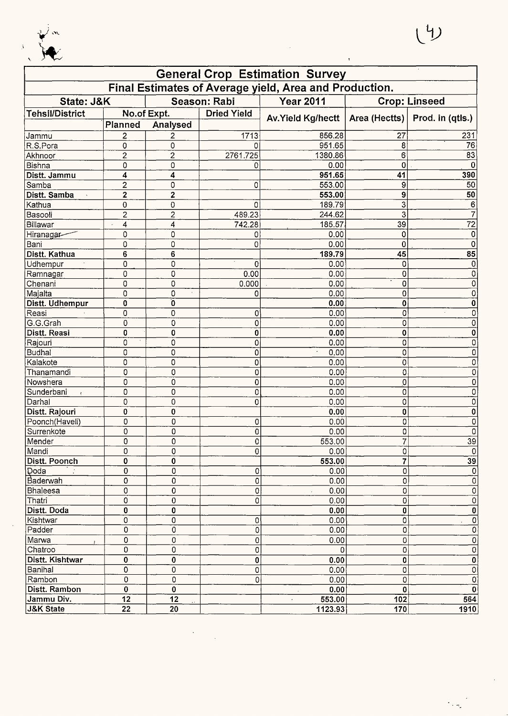

 $\frac{1}{2}$ 

|                          |                         |                         |                    | <b>General Crop Estimation Survey</b>                  |                |                      |
|--------------------------|-------------------------|-------------------------|--------------------|--------------------------------------------------------|----------------|----------------------|
|                          |                         |                         |                    | Final Estimates of Average yield, Area and Production. |                |                      |
| State: J&K               |                         |                         | Season: Rabi       | <b>Year 2011</b>                                       |                | <b>Crop: Linseed</b> |
| <b>Tehsil/District</b>   |                         | No.of Expt.             | <b>Dried Yield</b> |                                                        |                |                      |
|                          | Planned                 | Analysed                |                    | Av. Yield Kg/hectt   Area (Hectts)                     |                | Prod. in (qtls.)     |
| Jammu                    | 2                       | 2                       | 1713               | 856.28                                                 | 27             | 231                  |
| R.S.Pora                 | 0                       | 0                       | U                  | 951.65                                                 | 8              | 76                   |
| Akhnoor                  | $\overline{2}$          | $\overline{c}$          | 2761.725           | 1380.86                                                | 6              | $\overline{83}$      |
| Bishna                   | 0                       | 0                       | Ω                  | 0.00                                                   | 0              | $\Omega$             |
| Distt. Jammu             | 4                       | 4                       |                    | 951.65                                                 | 41             | 390                  |
| Samba                    | $\overline{\mathbf{c}}$ | 0                       | 0                  | 553.00                                                 | 9              | 50                   |
| Distt. Samba             | $\bf{2}$                | 2                       |                    | 553.00                                                 | 9              | 50                   |
| Kathua                   | $\mathbf 0$             | 0                       | 0                  | 189.79                                                 | 3              | 6                    |
| Basooli                  | $\overline{\mathbf{c}}$ | $\overline{\mathbf{c}}$ | 489.23             | 244.62                                                 | 3              |                      |
| Billawar                 | 4                       | 4                       | 742.28             | 185.57                                                 | 39             | $\overline{72}$      |
| Hiranagar                | 0                       | 0                       | 0                  | 0.00                                                   | 0              | 0                    |
| Bani                     | 0                       | 0                       | 0                  | 0.00                                                   | 0              | 0                    |
| Distt. Kathua            | $\bf 6$                 | 6                       |                    | 189.79                                                 | 45             | 85                   |
| Udhempur                 | 0                       | 0                       | 0                  | 0.00                                                   | 0              | 0                    |
| Ramnagar                 | 0                       | $\mathsf 0$             | 0.00               | 0.00                                                   | 0              | 0                    |
| Chenani                  | 0                       | 0                       | 0.000              | 0.00                                                   | $\mathbf 0$    | 0                    |
| Majalta                  | 0                       | 0                       | 0                  | 0.00                                                   | 0              | 0                    |
| Distt. Udhempur          | 0                       | O                       |                    | 0.00                                                   | $\bf{0}$       | 0                    |
| Reasi                    | 0                       | 0                       | 0                  | 0.00                                                   | $\mathbf 0$    | 0                    |
| G.G.Grah                 | 0                       | 0                       | 0                  | 0.00                                                   | 0              | 0                    |
| Distt. Reasi             | 0                       | 0                       | 0                  | 0.00                                                   | $\bf{0}$       | 0                    |
| Rajouri                  | 0                       | 0                       | 0                  | 0.00                                                   | 0              | 0                    |
| Budhal                   | 0                       | 0                       | Ö                  | 0.00<br>$\epsilon$                                     | 0              | 0                    |
| Kalakote                 | 0                       | 0                       | 0                  | 0.00                                                   | 0              | 0                    |
| Thanamandi               | 0                       | 0                       | 0                  | 0.00                                                   | 0              | 0                    |
| Nowshera                 | 0                       | 0                       | 0                  | 0.00                                                   | 0              | 0                    |
| Sunderbani<br>$\epsilon$ | 0                       | 0                       | 0                  | 0.00                                                   | 0              | 0                    |
| Darhal                   | 0                       | 0                       | 0                  | 0.00                                                   | 0              | 0                    |
| Distt. Rajouri           | 0                       | 0                       |                    | 0.00                                                   | $\pmb{0}$      | 0                    |
| Poonch(Haveli)           | 0                       | 0                       | 0                  | 0.00                                                   | 0              | 0                    |
| Surrenkote               | 0                       | 0                       | 0                  | 0.00                                                   | 0              | 0                    |
| Mender                   | 0                       | 0                       | $\overline{0}$     | 553.00                                                 | $\overline{7}$ | 39                   |
| Mandi                    | 0                       | 0                       | 0                  | 0.00                                                   | 0              | 0                    |
| Distt. Poonch            | 0                       | 0                       |                    | 553.00                                                 | 7              | 39                   |
| Doda                     | 0                       | $\mathbf 0$             | 0                  | 0.00                                                   | 0              | $\mathbf 0$          |
| ∣Baderwah                | 0                       | 0                       | 0                  | 0.00                                                   | 0              | 0                    |
| Bhaleesa                 | 0                       | 0                       | 0                  | 0.00                                                   | 0              | 0                    |
| Thatri                   | 0                       | 0                       | O                  | 0.00                                                   | 0              | 0                    |
| Distt. Doda              | 0                       | 0                       |                    | 0.00                                                   | 0              | 0                    |
| Kishtwar                 | 0                       | 0                       | 0                  | 0.00                                                   | 0              | 0                    |
| Padder                   | 0                       | 0                       | 0                  | 0.00                                                   | 0              | 0                    |
| Marwa                    | 0                       | 0                       | 0                  | 0.00                                                   | 0              | 0                    |
| Chatroo                  | 0                       | 0                       | 0                  | 0                                                      | 0              | 0                    |
| Distt. Kishtwar          | 0                       | 0                       | 0                  | 0.00                                                   | 0              | 0                    |
| Banihal                  | 0                       | 0                       | 0                  | 0.00                                                   | 0              | 0                    |
| Rambon                   | 0                       | 0                       | 0                  | 0.00                                                   | 0              | 0                    |
| Distt. Rambon            | $\pmb{0}$               | 0                       |                    | 0.00                                                   | 0              | $\bf{0}$             |
| Jammu Div.               | 12                      | 12                      |                    | 553.00                                                 | 102            | 564                  |
| <b>J&amp;K State</b>     | $\overline{22}$         | 20                      |                    | 1123.93                                                | 170            | 1910                 |

 $\frac{1}{2}$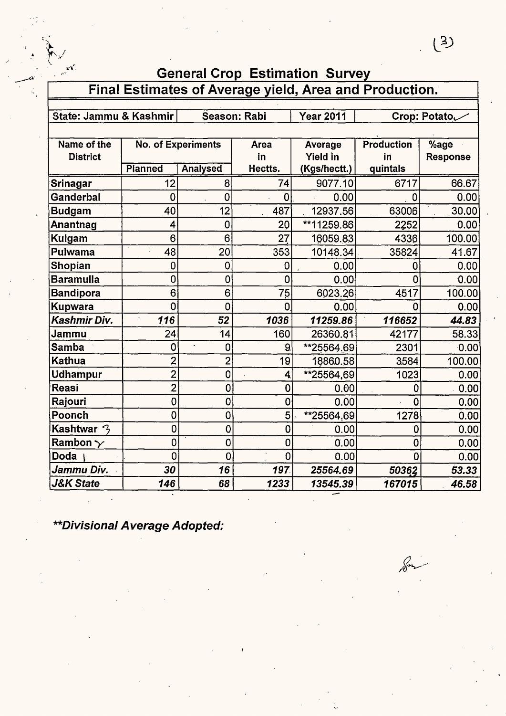| ╰<br>$\epsilon$ .<br><b>General Crop Estimation Survey</b> |                |                           |                |                                                        |                   |                   |
|------------------------------------------------------------|----------------|---------------------------|----------------|--------------------------------------------------------|-------------------|-------------------|
|                                                            |                |                           |                | Final Estimates of Average yield, Area and Production. |                   |                   |
|                                                            |                |                           |                |                                                        |                   |                   |
| State: Jammu & Kashmir                                     |                |                           | Season: Rabi   | <b>Year 2011</b>                                       |                   | Crop: Potato      |
| Name of the                                                |                | <b>No. of Experiments</b> | Area           | Average                                                | <b>Production</b> | %age              |
| <b>District</b>                                            |                |                           | in             | <b>Yield in</b>                                        | in                | <b>Response</b>   |
|                                                            | Planned        | <b>Analysed</b>           | Hectts.        | (Kgs/hectt.)                                           | quintals          |                   |
| Srinagar                                                   | 12             | 8                         | 74             | 9077.10                                                | 6717              | 66.67             |
| Ganderbal                                                  | $\overline{0}$ | $\mathbf 0$               | 0              | 0.00                                                   | $\mathbf 0$       | 0.00              |
| <b>Budgam</b>                                              | 40             | 12                        | 487            | 12937.56                                               | 63006             | 30.00             |
| Anantnag                                                   | 4              | $\overline{0}$            | 20             | **11259.86                                             | 2252              | 0.00              |
| <b>Kulgam</b>                                              | 6              | 6                         | 27             | 16059.83                                               | 4336              | 100.00            |
| Pulwama                                                    | 48             | 20                        | 353            | 10148.34                                               | 35824             | 41.67             |
| Shopian                                                    | 0              | $\overline{0}$            | 0              | 0.00                                                   | 0                 | 0.00              |
| <b>Baramulla</b>                                           | $\overline{0}$ | $\overline{0}$            | $\overline{0}$ | 0.00                                                   | 0                 | 0.00              |
| <b>Bandipora</b>                                           | 6              | 6                         | 75             | 6023.26                                                | 4517              | 100.00            |
| <b>Kupwara</b>                                             | $\overline{0}$ | $\overline{0}$            | 0              | 0.00                                                   | $\mathbf 0$       | 0.00              |
| Kashmir Div.                                               | 116            | 52                        | 1036           | 11259.86                                               | 116652            | 44.83             |
| Jammu                                                      | 24             | 14                        | 160            | 26360.81                                               | 42177             | 58.33             |
| <b>Samba</b>                                               | 0              | $\overline{0}$            | 9              | **25564.69                                             | 2301              | 0.00              |
| <b>Kathua</b>                                              | $\overline{2}$ | $\overline{2}$            | 19             | 18860.58                                               | 3584              | 100.00            |
| <b>Udhampur</b>                                            | $\overline{2}$ | $\overline{0}$            | 4              | **25564,69                                             | 1023              | 0.00              |
| Reasi                                                      | $\overline{2}$ | $\overline{0}$            | 0              | 0.00                                                   | 0                 | 0.00 <sub>1</sub> |
| Rajouri                                                    | 0              | 0                         | $\mathbf 0$    | 0.00                                                   | 0                 | 0.00              |
| Poonch                                                     | 0              | 0                         | 5              | $*25564.69$                                            | 1278              | 0.00              |
| Kashtwar 3                                                 | 0              | $\overline{0}$            | 0              | 0.00                                                   | 0                 | 0.00              |
| Rambon $\gamma$                                            | $\mathbf 0$    | 0                         | 0              | 0.00                                                   | 0                 | 0.00              |
| <b>Doda</b>                                                | $\overline{0}$ | 0                         | $\bullet$<br>0 | 0.00                                                   | $\Omega$          | 0.00              |
| Jammu Div.                                                 | 30             | 16                        | 197            | 25564.69                                               | 50362             | 53.33             |
| <b>J&amp;K State</b>                                       | 146            | 68                        | 1233           | 13545.39                                               | 167015            | 46.58             |

\*\*Divisional Average Adopted: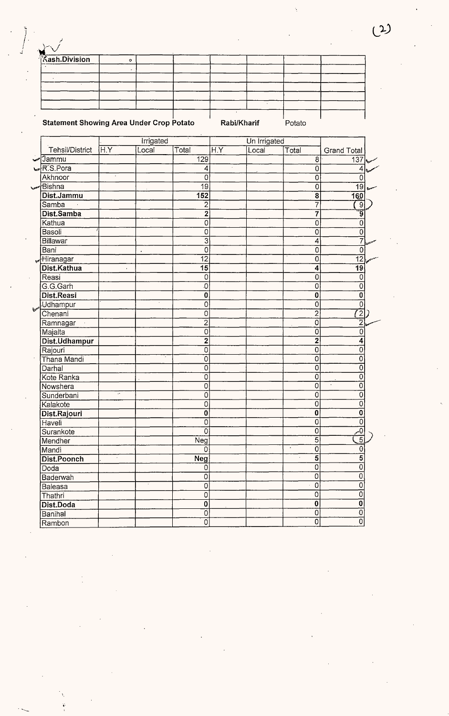|                                                 |                  |           |                           |                  | $\cdot$      |                             |                    |  |
|-------------------------------------------------|------------------|-----------|---------------------------|------------------|--------------|-----------------------------|--------------------|--|
|                                                 |                  |           |                           |                  |              |                             |                    |  |
|                                                 |                  |           |                           | Rabi/Kharif      |              |                             |                    |  |
| <b>Statement Showing Area Under Crop Potato</b> |                  |           |                           |                  |              | Potato                      |                    |  |
|                                                 |                  | Irrigated |                           |                  | Un Irrigated |                             |                    |  |
| Tehsil/District                                 | $\overline{H.Y}$ | Local     | Total                     | $\overline{H.Y}$ | Local        | Total                       | <b>Grand Total</b> |  |
| ็ Jammu                                         |                  |           | 129                       |                  |              | $\overline{8}$              | 137                |  |
| R.S.Pora                                        |                  |           | 4                         | ÷.               |              | 0                           | 4                  |  |
| Akhnoor                                         | $\cdot$          |           | $\overline{0}$            |                  |              | 0                           | 0                  |  |
| <b>Bishna</b>                                   |                  |           | $\overline{19}$           |                  |              | 0                           | $\overline{19}$    |  |
| Dist.Jammu                                      |                  |           | 152                       |                  |              | $\overline{\mathbf{8}}$     | 160                |  |
| Samba                                           |                  |           | $\overline{2}$            |                  |              | 7                           | $\overline{9}$     |  |
| Dist.Samba                                      |                  |           | $\overline{2}$            |                  |              | 7                           | ์รู                |  |
| Kathua                                          |                  |           | 0                         |                  |              | 0                           | $\mathbf 0$        |  |
| Basoli                                          |                  |           | 0                         |                  |              | 0                           | $\mathsf 0$        |  |
| <b>Billawar</b>                                 |                  |           | $\overline{3}$            |                  |              | 4                           | $\overline{7}$     |  |
| Bani                                            |                  |           | 0                         |                  |              | 0                           | $\overline{0}$     |  |
| Hiranagar                                       |                  | $\bullet$ | $\overline{12}$           |                  |              | 0                           | 12                 |  |
| Dist.Kathua                                     | $\bullet$        |           | 15                        |                  |              | 4                           | $\overline{19}$    |  |
| Reasi                                           |                  |           | 0                         |                  |              | 0                           | 0                  |  |
| G.G.Garh                                        |                  |           | 0                         |                  |              | 0                           | 0                  |  |
| Dist.Reasi                                      |                  |           | $\bf{0}$                  |                  |              | $\bf{0}$                    | 0                  |  |
| <b>Udhampur</b>                                 |                  |           | 0                         |                  |              | 0                           | 0                  |  |
| Chenani                                         |                  |           | 0                         |                  |              | $\overline{c}$              | $\overline{2}$     |  |
| Ramnagar                                        |                  |           | $\overline{2}$            |                  |              | 0                           | $\overline{2}$     |  |
| Majalta                                         |                  |           | 0                         |                  |              | 0                           | 0                  |  |
| Dist.Udhampur                                   |                  |           | $\overline{2}$            |                  |              | $\overline{2}$              | 4                  |  |
| Rajouri                                         |                  |           | 0                         |                  |              | $\overline{0}$              | 0                  |  |
| Thana Mandi                                     |                  |           | $\overline{0}$            |                  |              | $\overline{0}$              | 0                  |  |
| Darhal                                          |                  |           | 0                         |                  |              | 0                           | 0                  |  |
| Kote Ranka                                      |                  |           | 0                         |                  |              | $\overline{0}$              | 0                  |  |
| Nowshera                                        |                  |           | 0                         |                  |              | 0                           | 0                  |  |
| Sunderbani                                      | $\cdot$          |           | n                         |                  |              | 0                           | 0                  |  |
| Kalakote                                        |                  |           | 0                         |                  |              | 0                           | 0                  |  |
| Dist.Rajouri                                    |                  |           | $\bf{0}$                  |                  |              | $\overline{0}$              | 0                  |  |
| Haveli                                          |                  |           | $\overline{0}$            |                  |              | $\overline{0}$              | 0                  |  |
| Surankote                                       |                  |           | ō                         |                  |              | $\overline{0}$              | $\overline{0}$     |  |
| Mendher                                         |                  |           | Neg                       |                  |              | $\overline{5}$              | $\overline{5}$     |  |
| Mandi                                           |                  |           | 0                         |                  |              | $\bullet$<br>$\overline{0}$ | 0                  |  |
| Dist.Poonch                                     | $\cdot$          |           | <b>Neg</b>                |                  |              | $\overline{5}$              | 5                  |  |
| Doda                                            |                  |           | 0                         |                  |              | 0                           | $\overline{0}$     |  |
| Baderwah                                        |                  |           | 0                         |                  |              | $\overline{0}$              | 0                  |  |
| Baleasa                                         |                  |           | 0                         |                  |              | $\mathbf 0$                 | 0                  |  |
| Thathri                                         |                  |           | $\overline{0}$            |                  |              | $\overline{0}$              | $\overline{0}$     |  |
| Dist.Doda                                       |                  |           | $\overline{\mathfrak{o}}$ |                  |              | $\bf{0}$                    | $\mathbf 0$        |  |
| Banihal                                         |                  |           | $\overline{0}$            |                  |              | $\overline{0}$              | $\overline{0}$     |  |
| Ramhon                                          |                  |           | 0                         |                  |              | $\overline{0}$              | 0                  |  |

**Kash.Division** 

Ù,

 $\circ$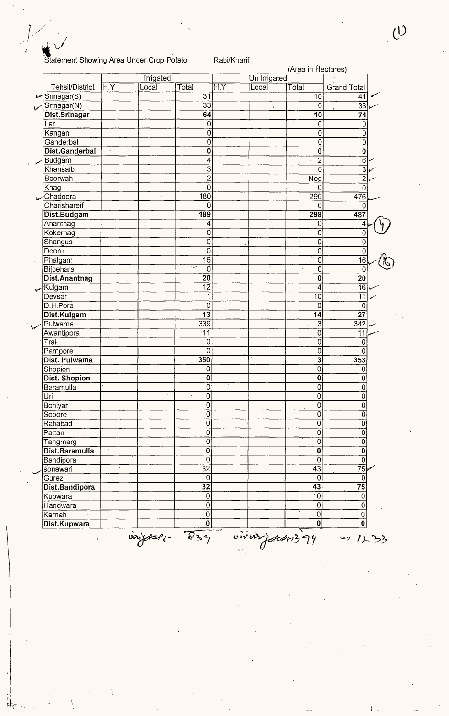## <sup>~</sup>" . , . Statement Showing Area Under Crop Potato Rabi/Kharif

 $\frac{1}{2}$ ,  $\frac{1}{2}$ 

|                            |                    |           |                         |                  |              | (Area in Hectares)        |                           |
|----------------------------|--------------------|-----------|-------------------------|------------------|--------------|---------------------------|---------------------------|
|                            |                    | Irrigated |                         |                  | Un Irrigated |                           |                           |
| <b>Tehsil/District</b>     | ÍН.Y               | Local     | Total                   | $\overline{H.Y}$ | Local        | Total                     | <b>Grand Total</b>        |
| Srinagar(S)                |                    |           | 31                      |                  |              | $\overline{10}$           | 41                        |
| Srinagar(N)                |                    |           | $\overline{33}$         |                  |              | 0                         | $\overline{33}$           |
| Dist Srinagar              |                    |           | 64                      |                  |              | 10                        | 74                        |
| Lar                        |                    |           | 0                       |                  |              | $\overline{0}$            | $\mathbf 0$               |
| Kangan                     |                    |           | Ō                       |                  |              | 0                         | $\overline{\mathfrak{o}}$ |
| Ganderbal                  |                    |           | 0                       |                  |              | $\mathsf 0$               | $\overline{\mathfrak{o}}$ |
| Dist.Ganderbal             | $\hat{\mathbf{x}}$ |           | $\overline{\mathbf{0}}$ |                  |              | 0                         | $\overline{\mathbf{0}}$   |
| <b>Budgam</b>              |                    |           | 4                       |                  |              | $\overline{2}$            | $\overline{6}$            |
| Khansaib                   |                    |           | $\overline{3}$          |                  |              | $\overline{0}$            | $\overline{\overline{3}}$ |
| Beerwah                    |                    |           | $\overline{2}$          |                  |              | $\overline{\text{Neg}}$   | $\overline{2}$            |
| Khag                       |                    |           | 0                       |                  |              | $\overline{0}$            | 0                         |
| Chadoora                   |                    |           | 180                     |                  |              | 296                       | 476                       |
| Charishareif               |                    |           | 0                       |                  |              | 0                         | 0                         |
| Dist.Budgam                |                    |           | 189                     |                  |              | 298                       | 487                       |
| Anantnag                   |                    |           | 4                       |                  | $\cdot$      | 0                         | 4                         |
| Kokernag                   |                    |           | 0                       |                  |              | 0                         | 0                         |
| Shangus                    |                    |           | $\overline{0}$          |                  |              | 0                         | $\overline{0}$            |
| Dooru                      |                    |           | $\overline{0}$          |                  |              | 0                         | $\overline{0}$            |
| Phalgam                    |                    |           | $\overline{16}$         |                  |              | 0                         | $\overline{16}$           |
| Bijbehara                  |                    |           | سرا<br>$\overline{0}$   |                  |              | $\overline{0}$            | 0                         |
| Dist.Anantnag              |                    |           | 20                      |                  |              | 0                         | $\overline{20}$           |
| Kulgam<br>حميه             |                    |           | $\overline{12}$         |                  |              | 4                         | $\overline{16}$           |
| Devsar                     |                    |           | 1                       |                  |              | $\overline{10}$           | $\overline{11}$           |
| D.H.Pora                   |                    |           | 0                       |                  |              | 0                         | $\mathbf 0$               |
| Dist.Kulgam                |                    |           | $\overline{13}$         |                  |              | 14                        | $\overline{27}$           |
| Pulwama                    |                    |           | 339                     |                  |              | 3                         | 342                       |
| Awantipora                 |                    |           | 11                      |                  |              | $\overline{0}$            | $\overline{11}$           |
| $\overline{\text{Tr}}$ al  |                    |           | $\overline{0}$          |                  |              | Ó                         | 0                         |
| Pampore                    |                    |           | 0                       |                  |              | 0                         | 0                         |
| Dist. Pulwama              |                    |           | 350                     |                  |              | $\overline{\mathbf{3}}$   | 353                       |
| Shopion                    |                    |           | 0                       |                  |              | 0                         | 0                         |
| Dist. Shopion              |                    |           | $\bf{0}$                |                  |              | $\overline{\mathbf{0}}$   | 0                         |
| Baramulla                  |                    |           | $\overline{0}$          |                  |              | 0                         | $\overline{0}$            |
| Uri                        |                    |           | U                       |                  |              | U                         | 0                         |
| Boniyar                    |                    |           | $\overline{0}$          |                  |              | $\overline{\mathfrak{o}}$ | $\overline{0}$            |
| Sopore                     |                    |           | $\overline{0}$          |                  |              | 0                         | 0                         |
| Rafiabad                   |                    |           | $\overline{0}$          |                  |              | 0                         | 0                         |
| Pattan                     |                    |           | $\overline{0}$          |                  |              | 0                         | 0                         |
|                            |                    |           | $\overline{0}$          |                  |              | 0                         | Ó                         |
| Tangmarg<br>Dist.Baramulla | $\cdot$            |           | $\overline{\mathbf{0}}$ |                  |              | $\overline{\mathbf{0}}$   | $\overline{\mathbf{0}}$   |
|                            |                    |           | $\mathbf 0$             |                  |              | Ō                         | $\overline{0}$            |
| Bandipora                  | $\bullet$          |           | $\overline{32}$         |                  | $\sim$       |                           |                           |
| sonawari                   |                    |           |                         |                  |              | 43                        | $\overline{75}$           |
| Gurez                      |                    |           | 0                       |                  |              | $\overline{0}$            | $\overline{0}$            |
| Dist.Bandipora             |                    |           | $\overline{32}$         |                  |              | 43                        | $\overline{75}$           |
| Kupwara                    |                    |           | $\mathsf 0$             |                  |              | $\overline{\cdot 0}$      | $\overline{0}$            |
| Handwara                   |                    |           | $\overline{0}$          |                  |              | 0                         | 0                         |
| Karnah                     |                    |           | $\overline{0}$          |                  |              | 0                         | 0                         |
| Dist.Kupwara               |                    |           | 0                       |                  |              | 0                         | 0                         |